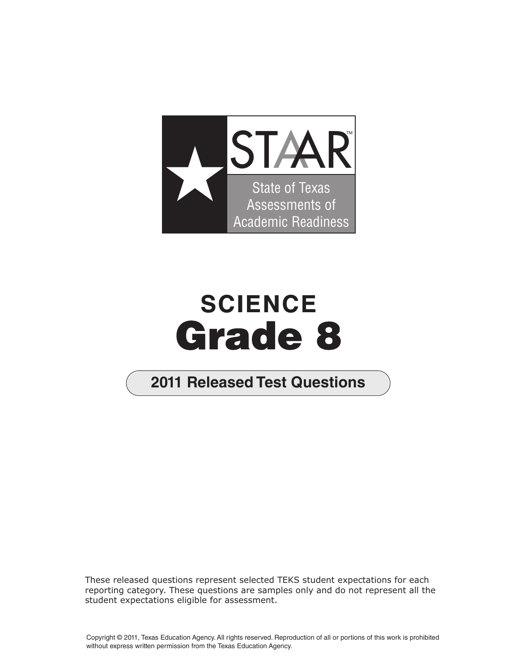

## **SCIENCE SCIENCE** Grade 8

## **2011 Released Test Questions**

These released questions represent selected TEKS student expectations for each reporting category. These questions are samples only and do not represent all the student expectations eligible for assessment.

Copyright © 2011, Texas Education Agency. All rights reserved. Reproduction of all or portions of this work is prohibited without express written permission from the Texas Education Agency.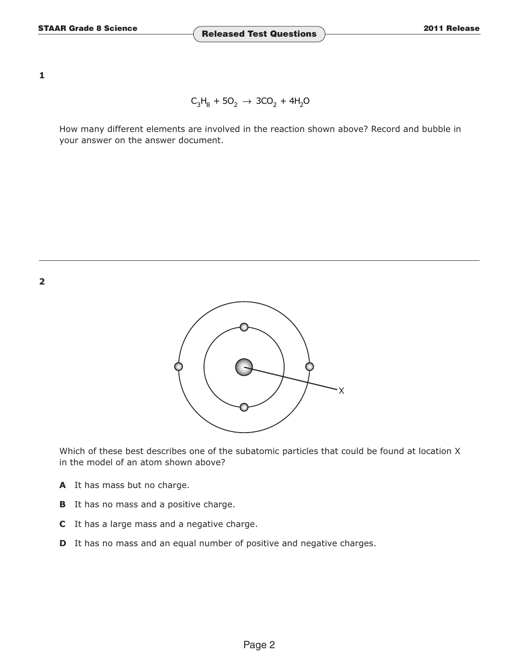<span id="page-1-0"></span>**STAAR Grade 8 Science Released Test Questions 2011 Release** 

**1**

$$
C_3H_8 + 5O_2 \rightarrow 3CO_2 + 4H_2O
$$

How many different elements are involved in the reaction shown above? Record and bubble in your answer on the answer document.

**2**



Which of these best describes one of the subatomic particles that could be found at location X in the model of an atom shown above?

- **A** It has mass but no charge.
- **B** It has no mass and a positive charge.
- **C** It has a large mass and a negative charge.
- **D** It has no mass and an equal number of positive and negative charges.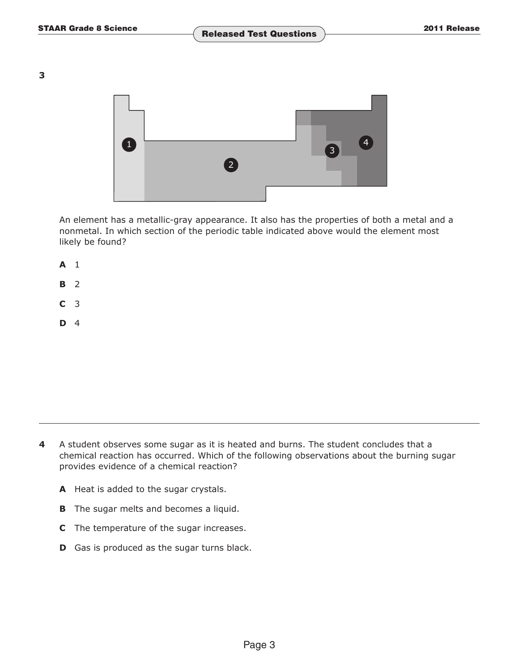<span id="page-2-0"></span>**3**



An element has a metallic-gray appearance. It also has the properties of both a metal and a nonmetal. In which section of the periodic table indicated above would the element most likely be found?

**A** 1

- **B** 2
- **C** 3
- **D** 4

- **4** A student observes some sugar as it is heated and burns. The student concludes that a chemical reaction has occurred. Which of the following observations about the burning sugar provides evidence of a chemical reaction?
	- **A** Heat is added to the sugar crystals.
	- **B** The sugar melts and becomes a liquid.
	- **C** The temperature of the sugar increases.
	- **D** Gas is produced as the sugar turns black.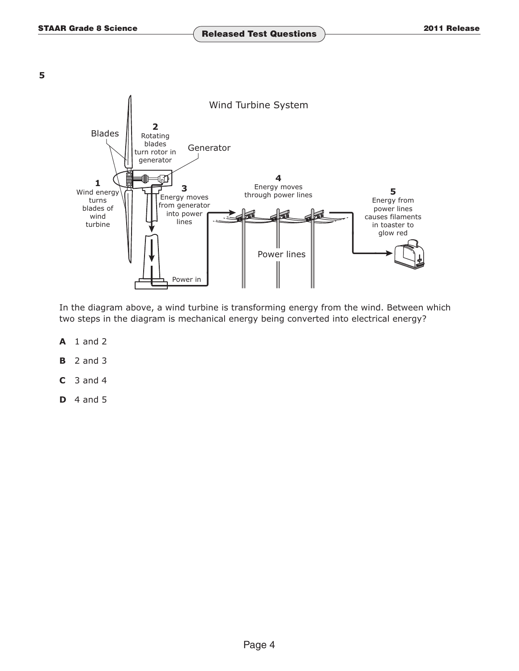<span id="page-3-0"></span>**STAAR Grade 8 Science Released Test Questions 2011 Release** 

**5**



In the diagram above, a wind turbine is transforming energy from the wind. Between which two steps in the diagram is mechanical energy being converted into electrical energy?

- **A** [1 and 2](#page-1-0)
- **B** [2 and 3](#page-2-0)
- **C** 3 and 4
- **D** 4 and 5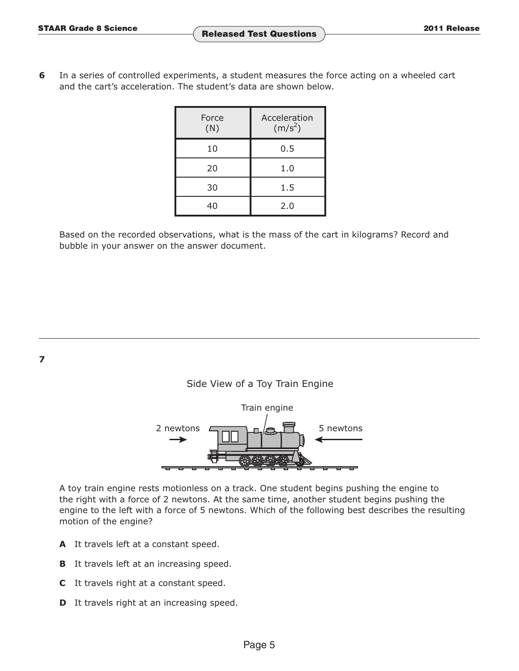**6** In a series of controlled experiments, a student measures the force acting on a wheeled cart and the cart's acceleration. The student's data are shown below.

| Force<br>(N) | Acceleration<br>$(m/s^2)$ |  |
|--------------|---------------------------|--|
| 10           | 0.5                       |  |
| 20           | 1.0                       |  |
| 30           | 1.5                       |  |
| 40           | 2.0                       |  |

Based on the recorded observations, what is the mass of the cart in kilograms? Record and bubble in your answer on the answer document.

**7**





A toy train engine rests motionless on a track. One student begins pushing the engine to the right with a force of 2 newtons. At the same time, another student begins pushing the engine to the left with a force of 5 newtons. Which of the following best describes the resulting motion of the engine?

- **A** It travels left at a constant speed.
- **B** It travels left at an increasing speed.
- **C** It travels right at a constant speed.
- **D** It travels right at an increasing speed.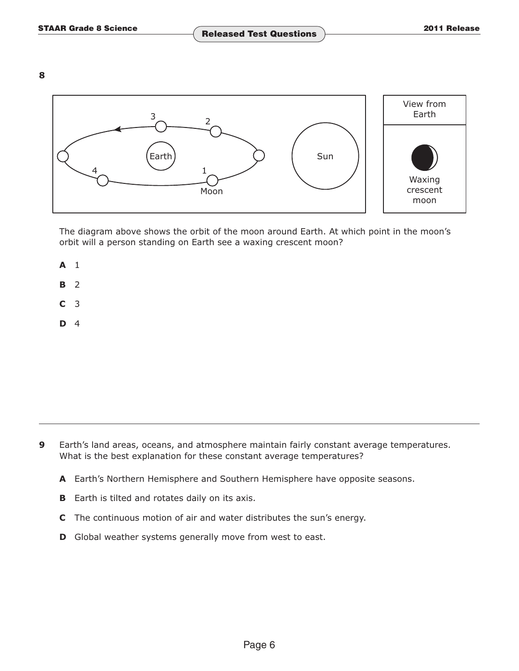**8**



The diagram above shows the orbit of the moon around Earth. At which point in the moon's orbit will a person standing on Earth see a waxing crescent moon?

- **A** 1
- **B** 2
- **C** 3
- **D** 4

- **9** Earth's land areas, oceans, and atmosphere maintain fairly constant average temperatures. What is the best explanation for these constant average temperatures?
	- **A** Earth's Northern Hemisphere and Southern Hemisphere have opposite seasons.
	- **B** Earth is tilted and rotates daily on its axis.
	- **C** The continuous motion of air and water distributes the sun's energy.
	- **D** Global weather systems generally move from west to east.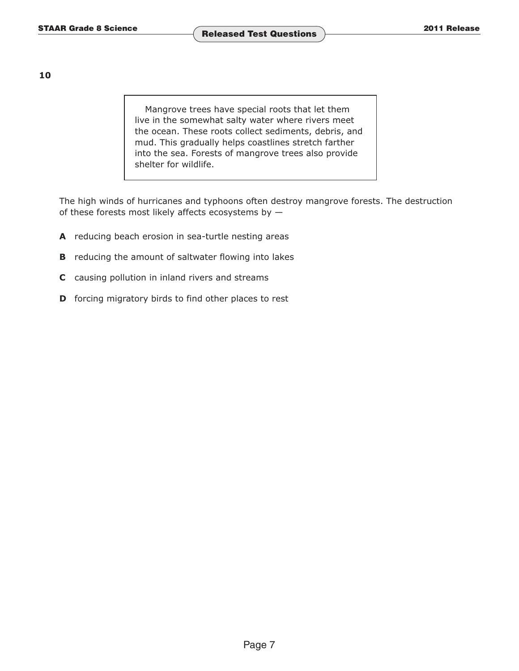**10**

Mangrove trees have special roots that let them live in the somewhat salty water where rivers meet the ocean. These roots collect sediments, debris, and mud. This gradually helps coastlines stretch farther into the sea. Forests of mangrove trees also provide shelter for wildlife.

The high winds of hurricanes and typhoons often destroy mangrove forests. The destruction of these forests most likely affects ecosystems by —

- **A** reducing beach erosion in sea-turtle nesting areas
- **B** reducing the amount of saltwater flowing into lakes
- **C** causing pollution in inland rivers and streams
- **D** forcing migratory birds to find other places to rest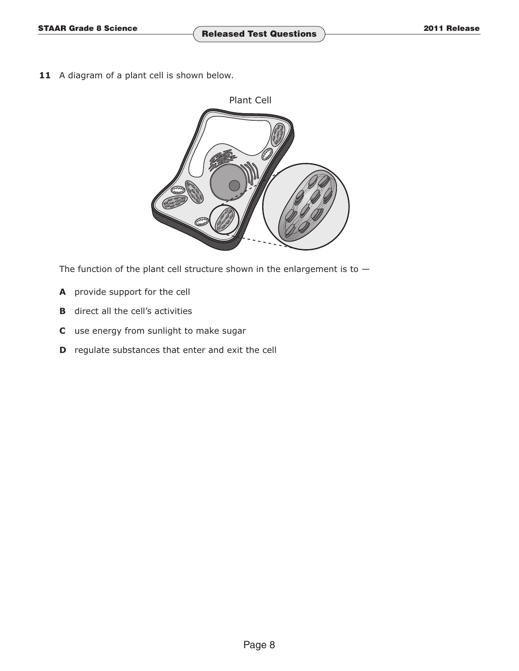11 A diagram of a plant cell is shown below.



The function of the plant cell structure shown in the enlargement is to  $-$ 

- **A** provide support for the cell
- **B** direct all the cell's activities
- **C** use energy from sunlight to make sugar
- **D** regulate substances that enter and exit the cell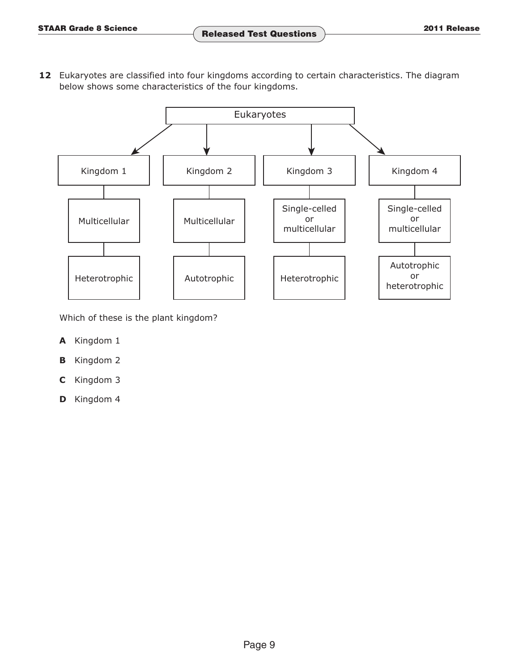**12** Eukaryotes are classified into four kingdoms according to certain characteristics. The diagram below shows some characteristics of the four kingdoms.



Which of these is the plant kingdom?

- **A** Kingdom 1
- **B** [Kingdom 2](#page-1-0)
- **C** [Kingdom 3](#page-2-0)
- **D** [Kingdom 4](#page-3-0)